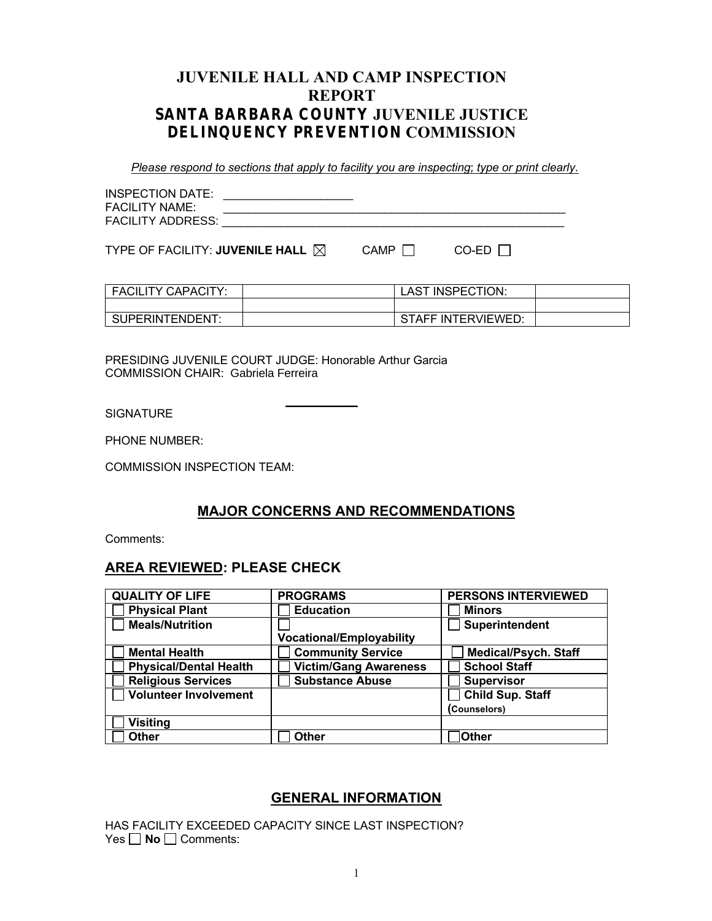# **JUVENILE HALL AND CAMP INSPECTION REPORT SANTA BARBARA COUNTY JUVENILE JUSTICE DELINQUENCY PREVENTION COMMISSION**

*Please respond to sections that apply to facility you are inspecting; type or print clearly.*

| <b>INSPECTION DATE:</b><br><b>FACILITY NAME:</b><br><b>FACILITY ADDRESS:</b> |  |  |  |
|------------------------------------------------------------------------------|--|--|--|
|------------------------------------------------------------------------------|--|--|--|

TYPE OF FACILITY: **JUVENILE HALL**  $\boxtimes$  CAMP  $\Box$  CO-ED  $\Box$ 

| <b>FACILITY CAPACITY:</b> | LAST INSPECTION:   |  |
|---------------------------|--------------------|--|
|                           |                    |  |
| SUPERINTENDENT:           | STAFF INTERVIEWED: |  |

PRESIDING JUVENILE COURT JUDGE: Honorable Arthur Garcia COMMISSION CHAIR: Gabriela Ferreira

 $\mathcal{L}=\mathcal{L}=\mathcal{L}=\mathcal{L}=\mathcal{L}=\mathcal{L}=\mathcal{L}=\mathcal{L}=\mathcal{L}=\mathcal{L}=\mathcal{L}=\mathcal{L}=\mathcal{L}=\mathcal{L}=\mathcal{L}=\mathcal{L}=\mathcal{L}=\mathcal{L}=\mathcal{L}=\mathcal{L}=\mathcal{L}=\mathcal{L}=\mathcal{L}=\mathcal{L}=\mathcal{L}=\mathcal{L}=\mathcal{L}=\mathcal{L}=\mathcal{L}=\mathcal{L}=\mathcal{L}=\mathcal{L}=\mathcal{L}=\mathcal{L}=\mathcal{L}=\mathcal{L}=\mathcal{$ **SIGNATURE** 

PHONE NUMBER:

COMMISSION INSPECTION TEAM:

#### **MAJOR CONCERNS AND RECOMMENDATIONS**

Comments:

#### **AREA REVIEWED: PLEASE CHECK**

| <b>QUALITY OF LIFE</b>        | <b>PROGRAMS</b>                 | <b>PERSONS INTERVIEWED</b>  |
|-------------------------------|---------------------------------|-----------------------------|
| <b>Physical Plant</b>         | <b>Education</b>                | <b>Minors</b>               |
| <b>Meals/Nutrition</b>        |                                 | Superintendent              |
|                               | <b>Vocational/Employability</b> |                             |
| <b>Mental Health</b>          | <b>Community Service</b>        | <b>Medical/Psych. Staff</b> |
| <b>Physical/Dental Health</b> | <b>Victim/Gang Awareness</b>    | <b>School Staff</b>         |
| <b>Religious Services</b>     | <b>Substance Abuse</b>          | <b>Supervisor</b>           |
| <b>Volunteer Involvement</b>  |                                 | <b>Child Sup. Staff</b>     |
|                               |                                 | (Counselors)                |
| <b>Visiting</b>               |                                 |                             |
| <b>Other</b>                  | <b>Other</b>                    | <b>Other</b>                |

#### **GENERAL INFORMATION**

HAS FACILITY EXCEEDED CAPACITY SINCE LAST INSPECTION? Yes  $\Box$  **No**  $\Box$  Comments: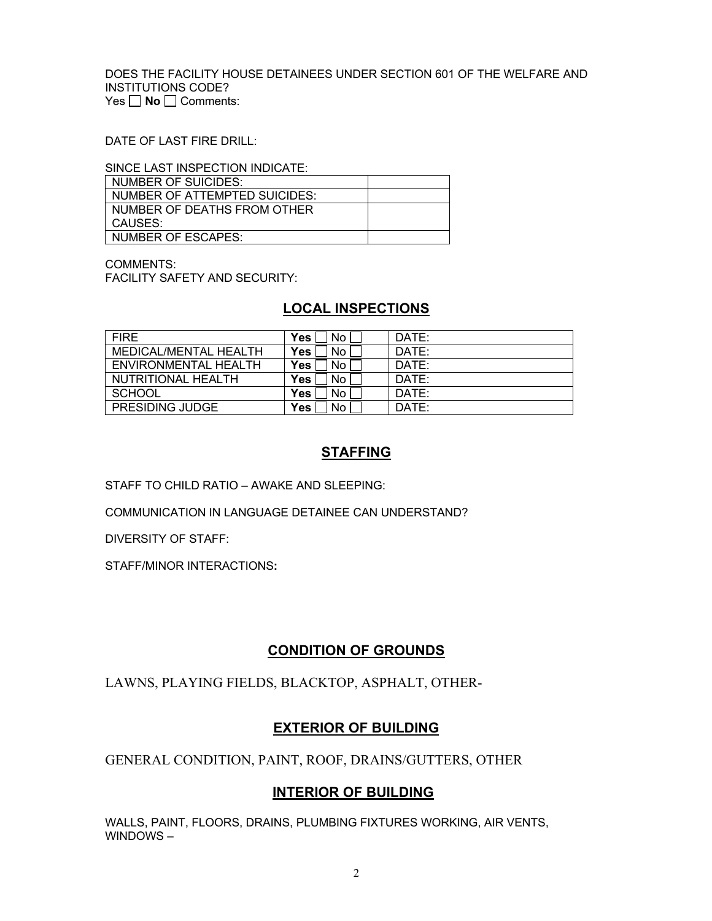DOES THE FACILITY HOUSE DETAINEES UNDER SECTION 601 OF THE WELFARE AND INSTITUTIONS CODE? Yes **No** □ Comments:

DATE OF LAST FIRE DRILL:

SINCE LAST INSPECTION INDICATE:

| NUMBER OF SUICIDES:           |  |
|-------------------------------|--|
| NUMBER OF ATTEMPTED SUICIDES: |  |
| NUMBER OF DEATHS FROM OTHER   |  |
| CAUSES:                       |  |
| NUMBER OF ESCAPES:            |  |

COMMENTS: FACILITY SAFETY AND SECURITY:

# **LOCAL INSPECTIONS**

| <b>FIRF</b>            | Yes.<br>No L           | DATE: |
|------------------------|------------------------|-------|
| MEDICAL/MENTAL HEALTH  | No l<br>Yes            | DATE: |
| ENVIRONMENTAL HEALTH   | No l<br>Yes            | DATE: |
| NUTRITIONAL HEALTH     | Yes<br>No <sub>1</sub> | DATE: |
| SCHOOL                 | Yes<br>No <sub>1</sub> | DATE: |
| <b>PRESIDING JUDGE</b> | <b>Yes</b><br>No.      | DATE: |

## **STAFFING**

STAFF TO CHILD RATIO – AWAKE AND SLEEPING:

COMMUNICATION IN LANGUAGE DETAINEE CAN UNDERSTAND?

DIVERSITY OF STAFF:

STAFF/MINOR INTERACTIONS**:** 

# **CONDITION OF GROUNDS**

LAWNS, PLAYING FIELDS, BLACKTOP, ASPHALT, OTHER-

# **EXTERIOR OF BUILDING**

GENERAL CONDITION, PAINT, ROOF, DRAINS/GUTTERS, OTHER

# **INTERIOR OF BUILDING**

WALLS, PAINT, FLOORS, DRAINS, PLUMBING FIXTURES WORKING, AIR VENTS, WINDOWS –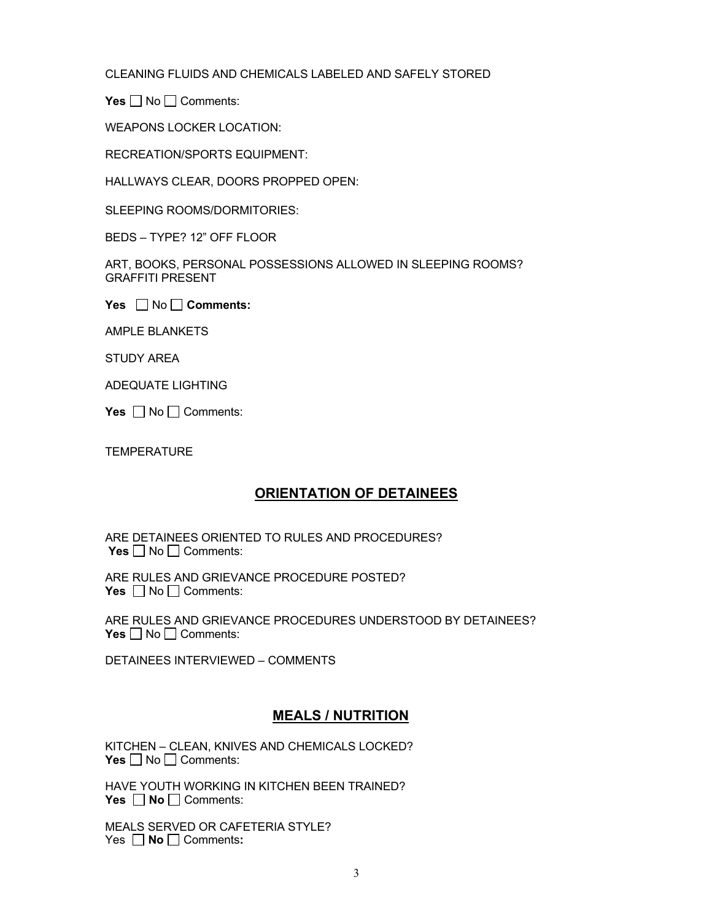CLEANING FLUIDS AND CHEMICALS LABELED AND SAFELY STORED

**Yes** □ No □ Comments:

WEAPONS LOCKER LOCATION:

RECREATION/SPORTS EQUIPMENT:

HALLWAYS CLEAR, DOORS PROPPED OPEN:

SLEEPING ROOMS/DORMITORIES:

BEDS – TYPE? 12" OFF FLOOR

ART, BOOKS, PERSONAL POSSESSIONS ALLOWED IN SLEEPING ROOMS? GRAFFITI PRESENT

**Yes**  $\Box$  No  $\Box$  Comments:

AMPLE BLANKETS

STUDY AREA

ADEQUATE LIGHTING

**Yes**  $\Box$  No  $\Box$  Comments:

**TEMPERATURE** 

# **ORIENTATION OF DETAINEES**

ARE DETAINEES ORIENTED TO RULES AND PROCEDURES? **Yes** □ No □ Comments:

ARE RULES AND GRIEVANCE PROCEDURE POSTED? **Yes** □ No □ Comments:

ARE RULES AND GRIEVANCE PROCEDURES UNDERSTOOD BY DETAINEES? **Yes** □ No □ Comments:

DETAINEES INTERVIEWED – COMMENTS

# **MEALS / NUTRITION**

KITCHEN – CLEAN, KNIVES AND CHEMICALS LOCKED? **Yes** □ No □ Comments:

HAVE YOUTH WORKING IN KITCHEN BEEN TRAINED? **Yes □ No** □ Comments:

MEALS SERVED OR CAFETERIA STYLE? Yes **□ No** □ Comments: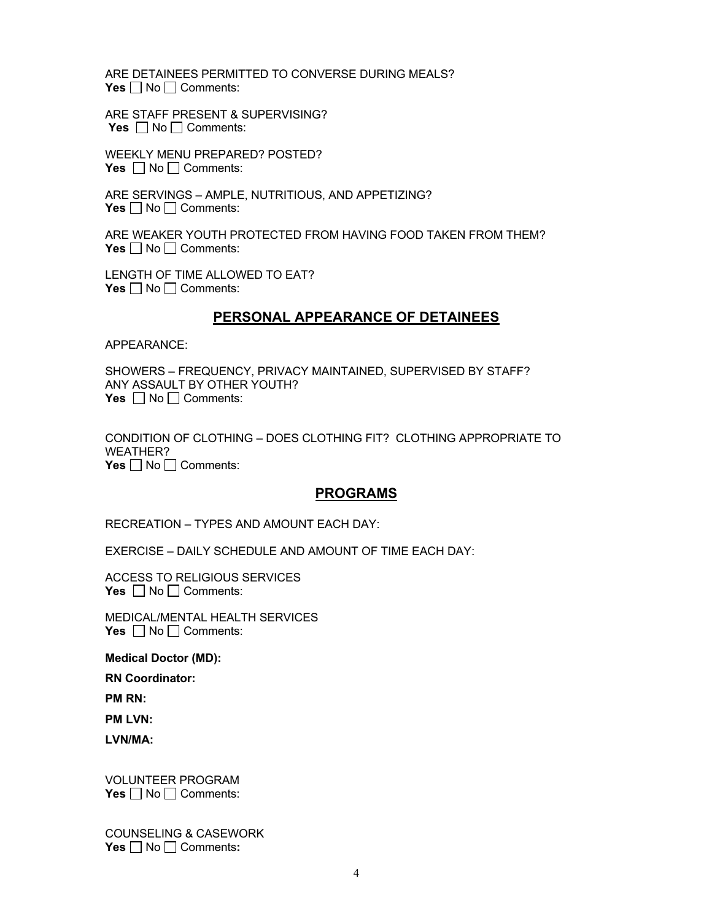ARE DETAINEES PERMITTED TO CONVERSE DURING MEALS? **Yes**  $\Box$  No  $\Box$  Comments:

ARE STAFF PRESENT & SUPERVISING? **Yes**  $\Box$  No  $\Box$  Comments:

WEEKLY MENU PREPARED? POSTED? **Yes**  $\Box$  No  $\Box$  Comments:

ARE SERVINGS – AMPLE, NUTRITIOUS, AND APPETIZING? **Yes**  $\Box$  No  $\Box$  Comments:

ARE WEAKER YOUTH PROTECTED FROM HAVING FOOD TAKEN FROM THEM? **Yes**  $\Box$  No  $\Box$  Comments:

LENGTH OF TIME ALLOWED TO EAT? **Yes** □ No □ Comments:

#### **PERSONAL APPEARANCE OF DETAINEES**

APPEARANCE:

SHOWERS – FREQUENCY, PRIVACY MAINTAINED, SUPERVISED BY STAFF? ANY ASSAULT BY OTHER YOUTH? **Yes**  $\Box$  No  $\Box$  Comments:

CONDITION OF CLOTHING – DOES CLOTHING FIT? CLOTHING APPROPRIATE TO WEATHER? **Yes**  $\Box$  No  $\Box$  Comments:

#### **PROGRAMS**

RECREATION – TYPES AND AMOUNT EACH DAY:

EXERCISE – DAILY SCHEDULE AND AMOUNT OF TIME EACH DAY:

ACCESS TO RELIGIOUS SERVICES **Yes**  $\Box$  No  $\Box$  Comments:

MEDICAL/MENTAL HEALTH SERVICES **Yes**  $\Box$  No  $\Box$  Comments:

**Medical Doctor (MD):**

**RN Coordinator:**

**PM RN:**

**PM LVN:** 

**LVN/MA:**

VOLUNTEER PROGRAM **Yes** □ No □ Comments:

COUNSELING & CASEWORK **Yes**  $\Box$  No  $\Box$  Comments: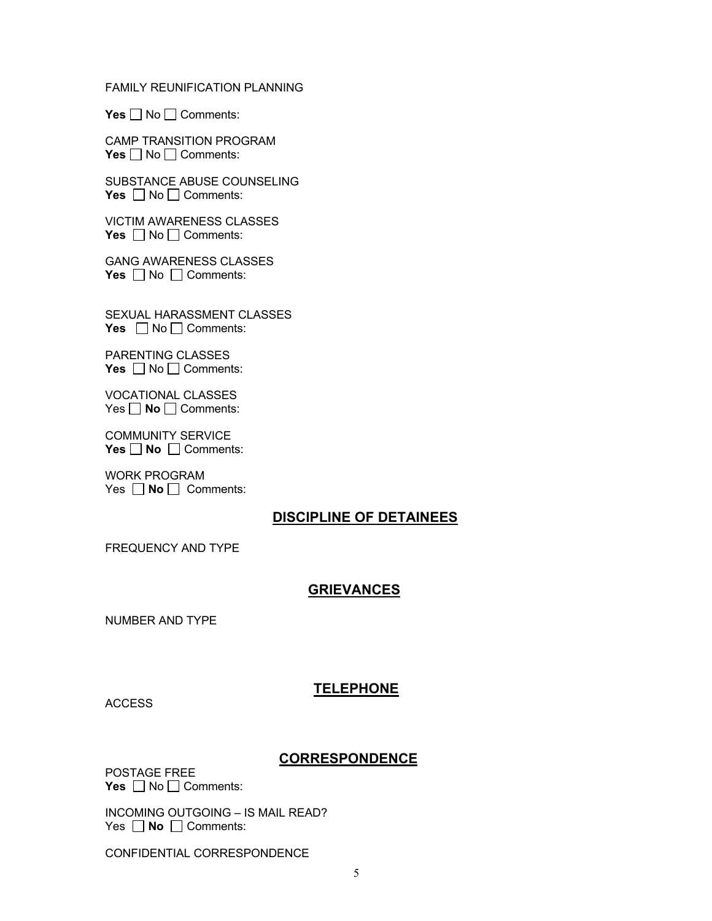#### FAMILY REUNIFICATION PLANNING

Yes □ No □ Comments:

CAMP TRANSITION PROGRAM **Yes** □ No □ Comments:

SUBSTANCE ABUSE COUNSELING **Yes** □ No □ Comments:

VICTIM AWARENESS CLASSES **Yes** □ No □ Comments:

GANG AWARENESS CLASSES **Yes** □ No □ Comments:

SEXUAL HARASSMENT CLASSES **Yes**  $\Box$  No  $\Box$  Comments:

PARENTING CLASSES **Yes** □ No □ Comments:

VOCATIONAL CLASSES Yes **□ No** □ Comments:

COMMUNITY SERVICE **Yes No** □ Comments:

WORK PROGRAM Yes  $\Box$  **No**  $\Box$  Comments:

## **DISCIPLINE OF DETAINEES**

FREQUENCY AND TYPE

## **GRIEVANCES**

NUMBER AND TYPE

**ACCESS** 

# **TELEPHONE**

#### **CORRESPONDENCE**

POSTAGE FREE Yes □ No □ Comments:

INCOMING OUTGOING – IS MAIL READ? Yes  $\Box$  **No**  $\Box$  Comments:

CONFIDENTIAL CORRESPONDENCE